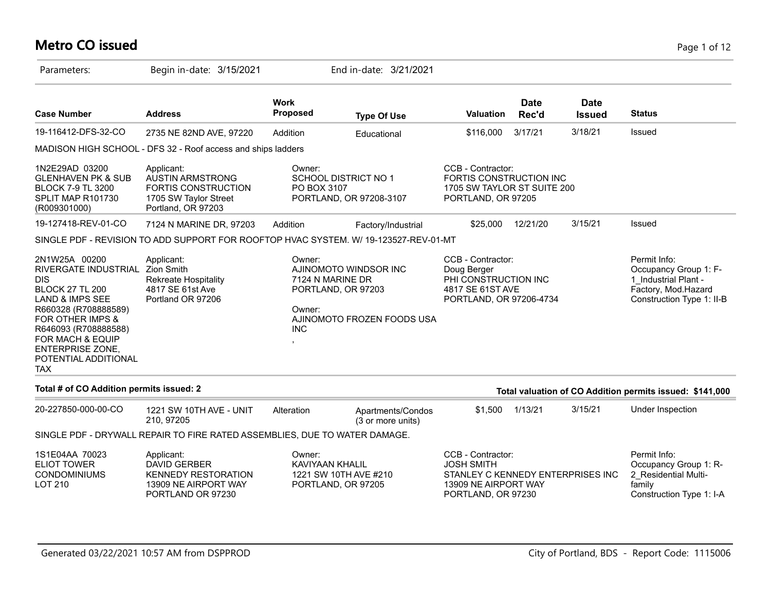# **Metro CO issued** Page 1 of 12

| Parameters:                                                                                                                                                                                                                                                                         | Begin in-date: 3/15/2021                                                                                     |                                                    | End in-date: 3/21/2021                                                    |                                                                                                                           |                      |                              |                                                                                                                   |
|-------------------------------------------------------------------------------------------------------------------------------------------------------------------------------------------------------------------------------------------------------------------------------------|--------------------------------------------------------------------------------------------------------------|----------------------------------------------------|---------------------------------------------------------------------------|---------------------------------------------------------------------------------------------------------------------------|----------------------|------------------------------|-------------------------------------------------------------------------------------------------------------------|
| <b>Case Number</b>                                                                                                                                                                                                                                                                  | <b>Address</b>                                                                                               | <b>Work</b><br>Proposed                            | <b>Type Of Use</b>                                                        | Valuation                                                                                                                 | <b>Date</b><br>Rec'd | <b>Date</b><br><b>Issued</b> | <b>Status</b>                                                                                                     |
| 19-116412-DFS-32-CO                                                                                                                                                                                                                                                                 | 2735 NE 82ND AVE, 97220                                                                                      | Addition                                           | Educational                                                               | \$116,000                                                                                                                 | 3/17/21              | 3/18/21                      | Issued                                                                                                            |
|                                                                                                                                                                                                                                                                                     | MADISON HIGH SCHOOL - DFS 32 - Roof access and ships ladders                                                 |                                                    |                                                                           |                                                                                                                           |                      |                              |                                                                                                                   |
| 1N2E29AD 03200<br><b>GLENHAVEN PK &amp; SUB</b><br><b>BLOCK 7-9 TL 3200</b><br>SPLIT MAP R101730<br>(R009301000)                                                                                                                                                                    | Applicant:<br><b>AUSTIN ARMSTRONG</b><br>FORTIS CONSTRUCTION<br>1705 SW Taylor Street<br>Portland, OR 97203  | Owner:<br>PO BOX 3107                              | <b>SCHOOL DISTRICT NO 1</b><br>PORTLAND, OR 97208-3107                    | CCB - Contractor:<br>FORTIS CONSTRUCTION INC<br>1705 SW TAYLOR ST SUITE 200<br>PORTLAND, OR 97205                         |                      |                              |                                                                                                                   |
| 19-127418-REV-01-CO                                                                                                                                                                                                                                                                 | 7124 N MARINE DR, 97203                                                                                      | Addition                                           | Factory/Industrial                                                        | \$25,000                                                                                                                  | 12/21/20             | 3/15/21                      | Issued                                                                                                            |
|                                                                                                                                                                                                                                                                                     | SINGLE PDF - REVISION TO ADD SUPPORT FOR ROOFTOP HVAC SYSTEM. W/ 19-123527-REV-01-MT                         |                                                    |                                                                           |                                                                                                                           |                      |                              |                                                                                                                   |
| 2N1W25A 00200<br>RIVERGATE INDUSTRIAL Zion Smith<br>DIS<br><b>BLOCK 27 TL 200</b><br><b>LAND &amp; IMPS SEE</b><br>R660328 (R708888589)<br><b>FOR OTHER IMPS &amp;</b><br>R646093 (R708888588)<br>FOR MACH & EQUIP<br><b>ENTERPRISE ZONE,</b><br>POTENTIAL ADDITIONAL<br><b>TAX</b> | Applicant:<br>Rekreate Hospitality<br>4817 SE 61st Ave<br>Portland OR 97206                                  | Owner:<br>7124 N MARINE DR<br>Owner:<br><b>INC</b> | AJINOMOTO WINDSOR INC<br>PORTLAND, OR 97203<br>AJINOMOTO FROZEN FOODS USA | CCB - Contractor:<br>Doug Berger<br>PHI CONSTRUCTION INC<br>4817 SE 61ST AVE<br>PORTLAND, OR 97206-4734                   |                      |                              | Permit Info:<br>Occupancy Group 1: F-<br>1 Industrial Plant -<br>Factory, Mod.Hazard<br>Construction Type 1: II-B |
| Total # of CO Addition permits issued: 2                                                                                                                                                                                                                                            |                                                                                                              |                                                    |                                                                           |                                                                                                                           |                      |                              | Total valuation of CO Addition permits issued: \$141,000                                                          |
| 20-227850-000-00-CO                                                                                                                                                                                                                                                                 | 1221 SW 10TH AVE - UNIT<br>210, 97205                                                                        | Alteration                                         | Apartments/Condos<br>(3 or more units)                                    | \$1,500                                                                                                                   | 1/13/21              | 3/15/21                      | Under Inspection                                                                                                  |
|                                                                                                                                                                                                                                                                                     | SINGLE PDF - DRYWALL REPAIR TO FIRE RATED ASSEMBLIES, DUE TO WATER DAMAGE.                                   |                                                    |                                                                           |                                                                                                                           |                      |                              |                                                                                                                   |
| 1S1E04AA 70023<br><b>ELIOT TOWER</b><br><b>CONDOMINIUMS</b><br><b>LOT 210</b>                                                                                                                                                                                                       | Applicant:<br><b>DAVID GERBER</b><br><b>KENNEDY RESTORATION</b><br>13909 NE AIRPORT WAY<br>PORTLAND OR 97230 | Owner:<br>KAVIYAAN KHALIL                          | 1221 SW 10TH AVE #210<br>PORTLAND, OR 97205                               | CCB - Contractor:<br><b>JOSH SMITH</b><br>STANLEY C KENNEDY ENTERPRISES INC<br>13909 NE AIRPORT WAY<br>PORTLAND, OR 97230 |                      |                              | Permit Info:<br>Occupancy Group 1: R-<br>2 Residential Multi-<br>family<br>Construction Type 1: I-A               |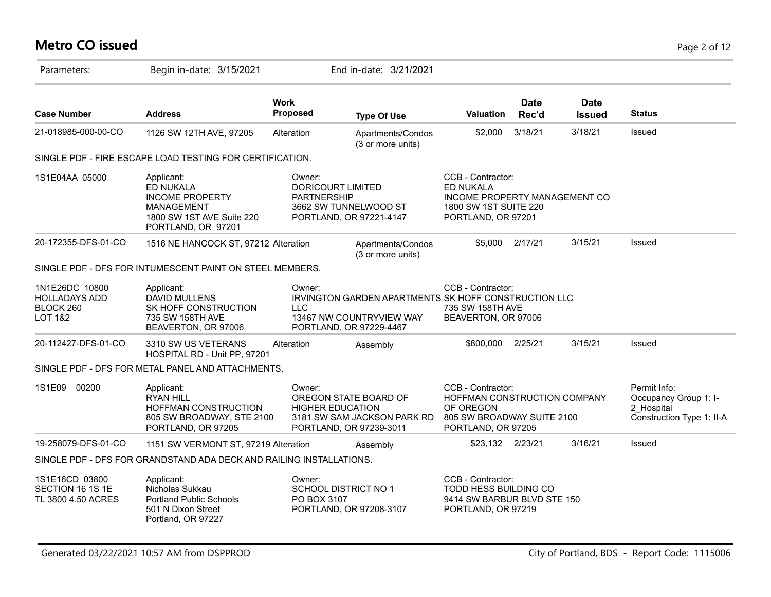# **Metro CO issued** Page 2 of 12

| Parameters:                                                               | Begin in-date: 3/15/2021                                                                                                  |                                | End in-date: 3/21/2021                                                                                      |                                                                                                                       |                      |                              |                                                                                  |
|---------------------------------------------------------------------------|---------------------------------------------------------------------------------------------------------------------------|--------------------------------|-------------------------------------------------------------------------------------------------------------|-----------------------------------------------------------------------------------------------------------------------|----------------------|------------------------------|----------------------------------------------------------------------------------|
| <b>Case Number</b>                                                        | <b>Address</b>                                                                                                            | <b>Work</b><br><b>Proposed</b> | <b>Type Of Use</b>                                                                                          | <b>Valuation</b>                                                                                                      | <b>Date</b><br>Rec'd | <b>Date</b><br><b>Issued</b> | <b>Status</b>                                                                    |
| 21-018985-000-00-CO                                                       | 1126 SW 12TH AVE, 97205                                                                                                   | Alteration                     | Apartments/Condos<br>(3 or more units)                                                                      | \$2,000                                                                                                               | 3/18/21              | 3/18/21                      | Issued                                                                           |
|                                                                           | SINGLE PDF - FIRE ESCAPE LOAD TESTING FOR CERTIFICATION.                                                                  |                                |                                                                                                             |                                                                                                                       |                      |                              |                                                                                  |
| 1S1E04AA 05000                                                            | Applicant:<br>ED NUKALA<br><b>INCOME PROPERTY</b><br><b>MANAGEMENT</b><br>1800 SW 1ST AVE Suite 220<br>PORTLAND, OR 97201 | Owner:<br><b>PARTNERSHIP</b>   | <b>DORICOURT LIMITED</b><br>3662 SW TUNNELWOOD ST<br>PORTLAND, OR 97221-4147                                | CCB - Contractor:<br><b>ED NUKALA</b><br>INCOME PROPERTY MANAGEMENT CO<br>1800 SW 1ST SUITE 220<br>PORTLAND, OR 97201 |                      |                              |                                                                                  |
| 20-172355-DFS-01-CO                                                       | 1516 NE HANCOCK ST, 97212 Alteration                                                                                      |                                | Apartments/Condos<br>(3 or more units)                                                                      |                                                                                                                       | \$5,000 2/17/21      | 3/15/21                      | Issued                                                                           |
|                                                                           | SINGLE PDF - DFS FOR INTUMESCENT PAINT ON STEEL MEMBERS.                                                                  |                                |                                                                                                             |                                                                                                                       |                      |                              |                                                                                  |
| 1N1E26DC 10800<br><b>HOLLADAYS ADD</b><br>BLOCK 260<br><b>LOT 1&amp;2</b> | Applicant:<br><b>DAVID MULLENS</b><br>SK HOFF CONSTRUCTION<br>735 SW 158TH AVE<br>BEAVERTON, OR 97006                     | Owner:<br><b>LLC</b>           | IRVINGTON GARDEN APARTMENTS SK HOFF CONSTRUCTION LLC<br>13467 NW COUNTRYVIEW WAY<br>PORTLAND, OR 97229-4467 | CCB - Contractor:<br>735 SW 158TH AVE<br>BEAVERTON, OR 97006                                                          |                      |                              |                                                                                  |
| 20-112427-DFS-01-CO                                                       | 3310 SW US VETERANS<br>HOSPITAL RD - Unit PP, 97201                                                                       | Alteration                     | Assembly                                                                                                    | \$800,000 2/25/21                                                                                                     |                      | 3/15/21                      | Issued                                                                           |
|                                                                           | SINGLE PDF - DFS FOR METAL PANEL AND ATTACHMENTS.                                                                         |                                |                                                                                                             |                                                                                                                       |                      |                              |                                                                                  |
| 00200<br>1S1E09                                                           | Applicant:<br><b>RYAN HILL</b><br>HOFFMAN CONSTRUCTION<br>805 SW BROADWAY, STE 2100<br>PORTLAND, OR 97205                 | Owner:                         | OREGON STATE BOARD OF<br><b>HIGHER EDUCATION</b><br>3181 SW SAM JACKSON PARK RD<br>PORTLAND, OR 97239-3011  | CCB - Contractor:<br>HOFFMAN CONSTRUCTION COMPANY<br>OF OREGON<br>805 SW BROADWAY SUITE 2100<br>PORTLAND, OR 97205    |                      |                              | Permit Info:<br>Occupancy Group 1: I-<br>2 Hospital<br>Construction Type 1: II-A |
| 19-258079-DFS-01-CO                                                       | 1151 SW VERMONT ST, 97219 Alteration                                                                                      |                                | Assembly                                                                                                    | \$23,132 2/23/21                                                                                                      |                      | 3/16/21                      | Issued                                                                           |
|                                                                           | SINGLE PDF - DFS FOR GRANDSTAND ADA DECK AND RAILING INSTALLATIONS.                                                       |                                |                                                                                                             |                                                                                                                       |                      |                              |                                                                                  |
| 1S1E16CD 03800<br>SECTION 16 1S 1E<br>TL 3800 4.50 ACRES                  | Applicant:<br>Nicholas Sukkau<br><b>Portland Public Schools</b><br>501 N Dixon Street<br>Portland, OR 97227               | Owner:<br>PO BOX 3107          | SCHOOL DISTRICT NO 1<br>PORTLAND, OR 97208-3107                                                             | CCB - Contractor:<br>TODD HESS BUILDING CO<br>9414 SW BARBUR BLVD STE 150<br>PORTLAND, OR 97219                       |                      |                              |                                                                                  |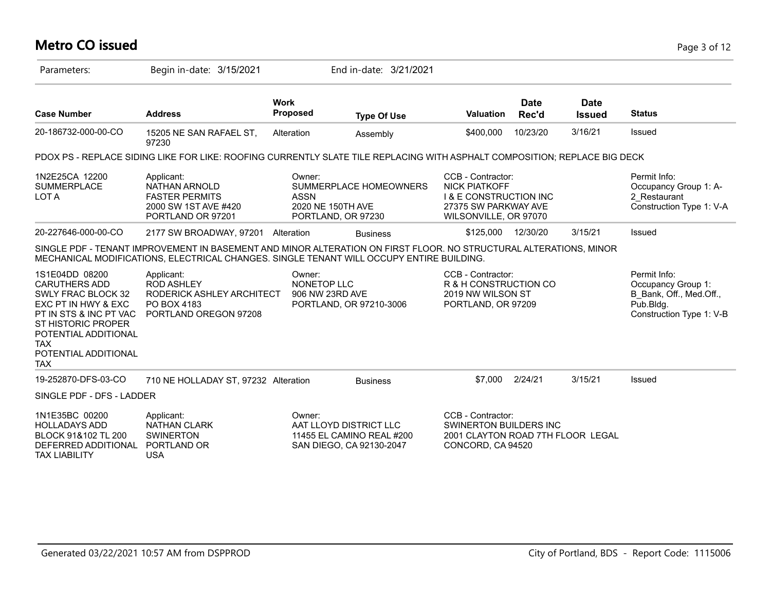# **Metro CO issued** Page 3 of 12

| Parameters:                                                                                                                                                                                                            | Begin in-date: 3/15/2021                                                                                                                                                                                      |                                            | End in-date: 3/21/2021                                                          |                                                                                                                                 |                      |                       |                                                                                                        |
|------------------------------------------------------------------------------------------------------------------------------------------------------------------------------------------------------------------------|---------------------------------------------------------------------------------------------------------------------------------------------------------------------------------------------------------------|--------------------------------------------|---------------------------------------------------------------------------------|---------------------------------------------------------------------------------------------------------------------------------|----------------------|-----------------------|--------------------------------------------------------------------------------------------------------|
| <b>Case Number</b>                                                                                                                                                                                                     | <b>Address</b>                                                                                                                                                                                                | <b>Work</b><br>Proposed                    | <b>Type Of Use</b>                                                              | <b>Valuation</b>                                                                                                                | <b>Date</b><br>Rec'd | Date<br><b>Issued</b> | <b>Status</b>                                                                                          |
| 20-186732-000-00-CO                                                                                                                                                                                                    | 15205 NE SAN RAFAEL ST,<br>97230                                                                                                                                                                              | Alteration                                 | Assembly                                                                        | \$400,000                                                                                                                       | 10/23/20             | 3/16/21               | Issued                                                                                                 |
|                                                                                                                                                                                                                        | PDOX PS - REPLACE SIDING LIKE FOR LIKE: ROOFING CURRENTLY SLATE TILE REPLACING WITH ASPHALT COMPOSITION; REPLACE BIG DECK                                                                                     |                                            |                                                                                 |                                                                                                                                 |                      |                       |                                                                                                        |
| 1N2E25CA 12200<br><b>SUMMERPLACE</b><br>LOT A                                                                                                                                                                          | Applicant:<br>NATHAN ARNOLD<br><b>FASTER PERMITS</b><br>2000 SW 1ST AVE #420<br>PORTLAND OR 97201                                                                                                             | Owner:<br><b>ASSN</b><br>2020 NE 150TH AVE | SUMMERPLACE HOMEOWNERS<br>PORTLAND, OR 97230                                    | CCB - Contractor:<br><b>NICK PIATKOFF</b><br><b>I &amp; E CONSTRUCTION INC</b><br>27375 SW PARKWAY AVE<br>WILSONVILLE, OR 97070 |                      |                       | Permit Info:<br>Occupancy Group 1: A-<br>2 Restaurant<br>Construction Type 1: V-A                      |
| 20-227646-000-00-CO                                                                                                                                                                                                    | 2177 SW BROADWAY, 97201                                                                                                                                                                                       | Alteration                                 | <b>Business</b>                                                                 | \$125,000                                                                                                                       | 12/30/20             | 3/15/21               | Issued                                                                                                 |
|                                                                                                                                                                                                                        | SINGLE PDF - TENANT IMPROVEMENT IN BASEMENT AND MINOR ALTERATION ON FIRST FLOOR. NO STRUCTURAL ALTERATIONS, MINOR<br>MECHANICAL MODIFICATIONS, ELECTRICAL CHANGES. SINGLE TENANT WILL OCCUPY ENTIRE BUILDING. |                                            |                                                                                 |                                                                                                                                 |                      |                       |                                                                                                        |
| 1S1E04DD 08200<br><b>CARUTHERS ADD</b><br>SWLY FRAC BLOCK 32<br>EXC PT IN HWY & EXC<br>PT IN STS & INC PT VAC<br><b>ST HISTORIC PROPER</b><br>POTENTIAL ADDITIONAL<br><b>TAX</b><br>POTENTIAL ADDITIONAL<br><b>TAX</b> | Applicant:<br><b>ROD ASHLEY</b><br>RODERICK ASHLEY ARCHITECT<br>PO BOX 4183<br>PORTLAND OREGON 97208                                                                                                          | Owner:<br>NONETOP LLC<br>906 NW 23RD AVE   | PORTLAND, OR 97210-3006                                                         | CCB - Contractor:<br>R & H CONSTRUCTION CO<br>2019 NW WILSON ST<br>PORTLAND, OR 97209                                           |                      |                       | Permit Info:<br>Occupancy Group 1:<br>B_Bank, Off., Med.Off.,<br>Pub.Bldg.<br>Construction Type 1: V-B |
| 19-252870-DFS-03-CO                                                                                                                                                                                                    | 710 NE HOLLADAY ST, 97232 Alteration                                                                                                                                                                          |                                            | <b>Business</b>                                                                 | \$7,000                                                                                                                         | 2/24/21              | 3/15/21               | Issued                                                                                                 |
| SINGLE PDF - DFS - LADDER                                                                                                                                                                                              |                                                                                                                                                                                                               |                                            |                                                                                 |                                                                                                                                 |                      |                       |                                                                                                        |
| 1N1E35BC 00200<br><b>HOLLADAYS ADD</b><br>BLOCK 91&102 TL 200<br>DEFERRED ADDITIONAL<br><b>TAX LIABILITY</b>                                                                                                           | Applicant:<br><b>NATHAN CLARK</b><br><b>SWINERTON</b><br>PORTLAND OR<br><b>USA</b>                                                                                                                            | Owner:                                     | AAT LLOYD DISTRICT LLC<br>11455 EL CAMINO REAL #200<br>SAN DIEGO, CA 92130-2047 | CCB - Contractor:<br><b>SWINERTON BUILDERS INC</b><br>2001 CLAYTON ROAD 7TH FLOOR LEGAL<br>CONCORD, CA 94520                    |                      |                       |                                                                                                        |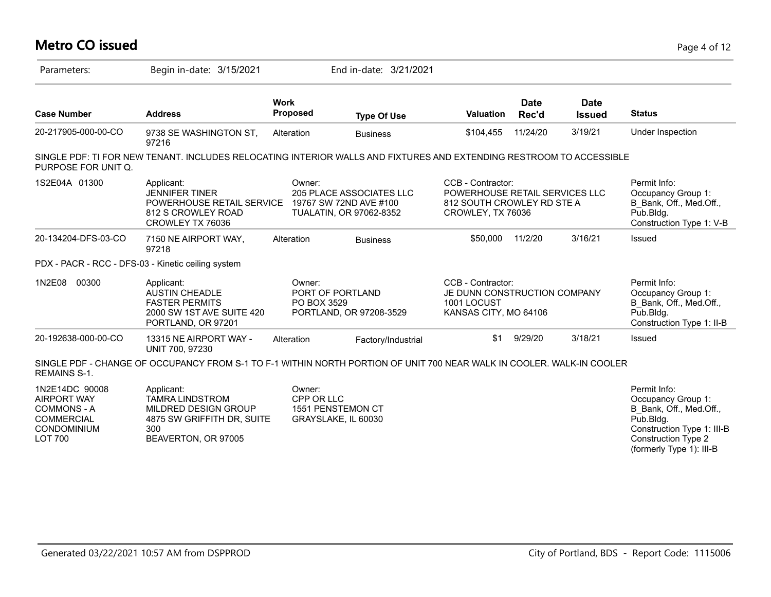| <b>Metro CO issued</b>                                                                                           |                                                                                                                          |                         |                                                                                      |                                                                                                        |                      |                              | Page 4 of 12                                                                                                                           |
|------------------------------------------------------------------------------------------------------------------|--------------------------------------------------------------------------------------------------------------------------|-------------------------|--------------------------------------------------------------------------------------|--------------------------------------------------------------------------------------------------------|----------------------|------------------------------|----------------------------------------------------------------------------------------------------------------------------------------|
| Parameters:                                                                                                      | Begin in-date: 3/15/2021                                                                                                 |                         | End in-date: 3/21/2021                                                               |                                                                                                        |                      |                              |                                                                                                                                        |
| <b>Case Number</b>                                                                                               | <b>Address</b>                                                                                                           | <b>Work</b><br>Proposed | <b>Type Of Use</b>                                                                   | <b>Valuation</b>                                                                                       | <b>Date</b><br>Rec'd | <b>Date</b><br><b>Issued</b> | <b>Status</b>                                                                                                                          |
| 20-217905-000-00-CO                                                                                              | 9738 SE WASHINGTON ST,<br>97216                                                                                          | Alteration              | <b>Business</b>                                                                      | \$104,455                                                                                              | 11/24/20             | 3/19/21                      | Under Inspection                                                                                                                       |
| PURPOSE FOR UNIT Q.                                                                                              | SINGLE PDF: TI FOR NEW TENANT. INCLUDES RELOCATING INTERIOR WALLS AND FIXTURES AND EXTENDING RESTROOM TO ACCESSIBLE      |                         |                                                                                      |                                                                                                        |                      |                              |                                                                                                                                        |
| 1S2E04A 01300                                                                                                    | Applicant:<br><b>JENNIFER TINER</b><br>POWERHOUSE RETAIL SERVICE<br>812 S CROWLEY ROAD<br>CROWLEY TX 76036               | Owner:                  | 205 PLACE ASSOCIATES LLC<br>19767 SW 72ND AVE #100<br><b>TUALATIN, OR 97062-8352</b> | CCB - Contractor:<br>POWERHOUSE RETAIL SERVICES LLC<br>812 SOUTH CROWLEY RD STE A<br>CROWLEY, TX 76036 |                      |                              | Permit Info:<br>Occupancy Group 1:<br>B_Bank, Off., Med.Off.,<br>Pub.Bldg.<br>Construction Type 1: V-B                                 |
| 20-134204-DFS-03-CO                                                                                              | 7150 NE AIRPORT WAY,<br>97218                                                                                            | Alteration              | <b>Business</b>                                                                      | \$50,000                                                                                               | 11/2/20              | 3/16/21                      | Issued                                                                                                                                 |
|                                                                                                                  | PDX - PACR - RCC - DFS-03 - Kinetic ceiling system                                                                       |                         |                                                                                      |                                                                                                        |                      |                              |                                                                                                                                        |
| 1N2E08<br>00300                                                                                                  | Applicant:<br><b>AUSTIN CHEADLE</b><br><b>FASTER PERMITS</b><br>2000 SW 1ST AVE SUITE 420<br>PORTLAND, OR 97201          | Owner:<br>PO BOX 3529   | PORT OF PORTLAND<br>PORTLAND, OR 97208-3529                                          | CCB - Contractor:<br>JE DUNN CONSTRUCTION COMPANY<br>1001 LOCUST<br>KANSAS CITY, MO 64106              |                      |                              | Permit Info:<br>Occupancy Group 1:<br>B_Bank, Off., Med.Off.,<br>Pub.Bldg.<br>Construction Type 1: II-B                                |
| 20-192638-000-00-CO                                                                                              | 13315 NE AIRPORT WAY -<br>UNIT 700, 97230                                                                                | Alteration              | Factory/Industrial                                                                   | \$1                                                                                                    | 9/29/20              | 3/18/21                      | Issued                                                                                                                                 |
| <b>REMAINS S-1.</b>                                                                                              | SINGLE PDF - CHANGE OF OCCUPANCY FROM S-1 TO F-1 WITHIN NORTH PORTION OF UNIT 700 NEAR WALK IN COOLER. WALK-IN COOLER    |                         |                                                                                      |                                                                                                        |                      |                              |                                                                                                                                        |
| 1N2E14DC 90008<br><b>AIRPORT WAY</b><br><b>COMMONS - A</b><br><b>COMMERCIAL</b><br>CONDOMINIUM<br><b>LOT 700</b> | Applicant:<br><b>TAMRA LINDSTROM</b><br>MILDRED DESIGN GROUP<br>4875 SW GRIFFITH DR, SUITE<br>300<br>BEAVERTON, OR 97005 | Owner:<br>CPP OR LLC    | 1551 PENSTEMON CT<br>GRAYSLAKE, IL 60030                                             |                                                                                                        |                      |                              | Permit Info:<br>Occupancy Group 1:<br>B Bank, Off., Med.Off.,<br>Pub.Bldg.<br>Construction Type 1: III-B<br><b>Construction Type 2</b> |

(formerly Type 1): III-B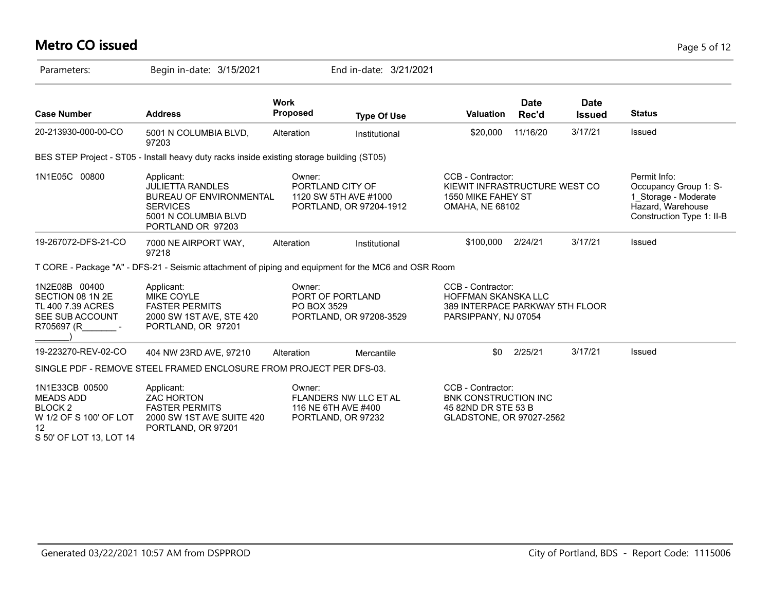# **Metro CO issued** Page 5 of 12

| Parameters:                                                                                                         | Begin in-date: 3/15/2021                                                                                                                |                                | End in-date: 3/21/2021                                             |                                                                                                            |                      |                              |                                                                                                                 |
|---------------------------------------------------------------------------------------------------------------------|-----------------------------------------------------------------------------------------------------------------------------------------|--------------------------------|--------------------------------------------------------------------|------------------------------------------------------------------------------------------------------------|----------------------|------------------------------|-----------------------------------------------------------------------------------------------------------------|
| <b>Case Number</b>                                                                                                  | <b>Address</b>                                                                                                                          | <b>Work</b><br><b>Proposed</b> | <b>Type Of Use</b>                                                 | <b>Valuation</b>                                                                                           | <b>Date</b><br>Rec'd | <b>Date</b><br><b>Issued</b> | <b>Status</b>                                                                                                   |
| 20-213930-000-00-CO                                                                                                 | 5001 N COLUMBIA BLVD,<br>97203                                                                                                          | Alteration                     | Institutional                                                      | \$20,000                                                                                                   | 11/16/20             | 3/17/21                      | Issued                                                                                                          |
|                                                                                                                     | BES STEP Project - ST05 - Install heavy duty racks inside existing storage building (ST05)                                              |                                |                                                                    |                                                                                                            |                      |                              |                                                                                                                 |
| 1N1E05C 00800                                                                                                       | Applicant:<br><b>JULIETTA RANDLES</b><br><b>BUREAU OF ENVIRONMENTAL</b><br><b>SERVICES</b><br>5001 N COLUMBIA BLVD<br>PORTLAND OR 97203 | Owner:<br>PORTLAND CITY OF     | 1120 SW 5TH AVE #1000<br>PORTLAND, OR 97204-1912                   | CCB - Contractor:<br>KIEWIT INFRASTRUCTURE WEST CO<br>1550 MIKE FAHEY ST<br><b>OMAHA, NE 68102</b>         |                      |                              | Permit Info:<br>Occupancy Group 1: S-<br>1 Storage - Moderate<br>Hazard, Warehouse<br>Construction Type 1: II-B |
| 19-267072-DFS-21-CO                                                                                                 | 7000 NE AIRPORT WAY,<br>97218                                                                                                           | Alteration                     | Institutional                                                      | \$100,000                                                                                                  | 2/24/21              | 3/17/21                      | Issued                                                                                                          |
|                                                                                                                     | T CORE - Package "A" - DFS-21 - Seismic attachment of piping and equipment for the MC6 and OSR Room                                     |                                |                                                                    |                                                                                                            |                      |                              |                                                                                                                 |
| 1N2E08B 00400<br>SECTION 08 1N 2E<br>TL 400 7.39 ACRES<br>SEE SUB ACCOUNT<br>R705697 (R                             | Applicant:<br><b>MIKE COYLE</b><br><b>FASTER PERMITS</b><br>2000 SW 1ST AVE, STE 420<br>PORTLAND, OR 97201                              | Owner:<br>PO BOX 3529          | PORT OF PORTLAND<br>PORTLAND, OR 97208-3529                        | CCB - Contractor:<br><b>HOFFMAN SKANSKA LLC</b><br>389 INTERPACE PARKWAY 5TH FLOOR<br>PARSIPPANY, NJ 07054 |                      |                              |                                                                                                                 |
| 19-223270-REV-02-CO                                                                                                 | 404 NW 23RD AVE, 97210                                                                                                                  | Alteration                     | Mercantile                                                         | \$0                                                                                                        | 2/25/21              | 3/17/21                      | Issued                                                                                                          |
|                                                                                                                     | SINGLE PDF - REMOVE STEEL FRAMED ENCLOSURE FROM PROJECT PER DFS-03.                                                                     |                                |                                                                    |                                                                                                            |                      |                              |                                                                                                                 |
| 1N1E33CB 00500<br><b>MEADS ADD</b><br>BLOCK <sub>2</sub><br>W 1/2 OF S 100' OF LOT<br>12<br>S 50' OF LOT 13, LOT 14 | Applicant:<br><b>ZAC HORTON</b><br><b>FASTER PERMITS</b><br>2000 SW 1ST AVE SUITE 420<br>PORTLAND, OR 97201                             | Owner:                         | FLANDERS NW LLC ET AL<br>116 NE 6TH AVE #400<br>PORTLAND, OR 97232 | CCB - Contractor:<br>BNK CONSTRUCTION INC<br>45 82ND DR STE 53 B<br>GLADSTONE, OR 97027-2562               |                      |                              |                                                                                                                 |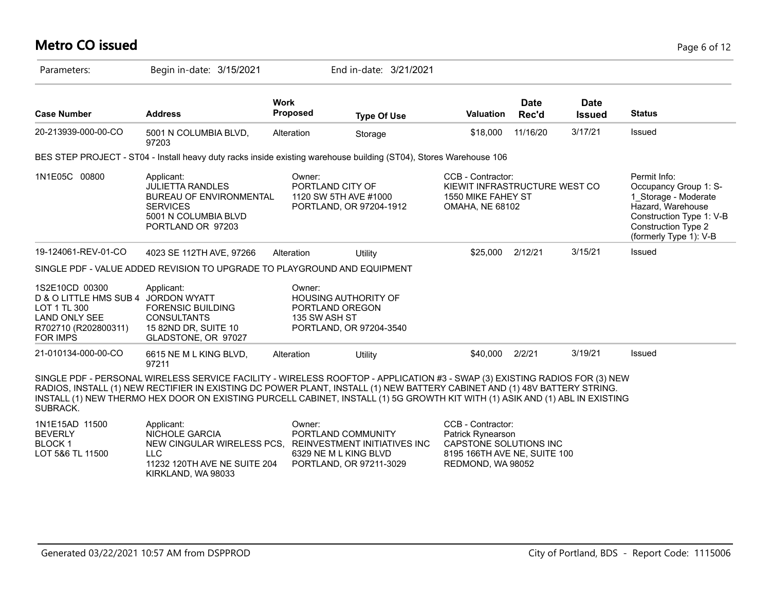# **Metro CO issued** Page 6 of 12

| Parameters:                                                                                                                 | Begin in-date: 3/15/2021                                                                                                                                                                                                                                                                                                                                                                |                                                                           | End in-date: 3/21/2021                                  |                                                                                                                       |                      |                              |                                                                                                                                                                        |
|-----------------------------------------------------------------------------------------------------------------------------|-----------------------------------------------------------------------------------------------------------------------------------------------------------------------------------------------------------------------------------------------------------------------------------------------------------------------------------------------------------------------------------------|---------------------------------------------------------------------------|---------------------------------------------------------|-----------------------------------------------------------------------------------------------------------------------|----------------------|------------------------------|------------------------------------------------------------------------------------------------------------------------------------------------------------------------|
| <b>Case Number</b>                                                                                                          | <b>Address</b>                                                                                                                                                                                                                                                                                                                                                                          | <b>Work</b><br><b>Proposed</b>                                            | <b>Type Of Use</b>                                      | <b>Valuation</b>                                                                                                      | <b>Date</b><br>Rec'd | <b>Date</b><br><b>Issued</b> | <b>Status</b>                                                                                                                                                          |
| 20-213939-000-00-CO                                                                                                         | 5001 N COLUMBIA BLVD,<br>97203                                                                                                                                                                                                                                                                                                                                                          | Alteration                                                                | Storage                                                 | \$18,000                                                                                                              | 11/16/20             | 3/17/21                      | Issued                                                                                                                                                                 |
|                                                                                                                             | BES STEP PROJECT - ST04 - Install heavy duty racks inside existing warehouse building (ST04), Stores Warehouse 106                                                                                                                                                                                                                                                                      |                                                                           |                                                         |                                                                                                                       |                      |                              |                                                                                                                                                                        |
| 1N1E05C 00800                                                                                                               | Applicant:<br><b>JULIETTA RANDLES</b><br>BUREAU OF ENVIRONMENTAL<br><b>SERVICES</b><br>5001 N COLUMBIA BLVD<br>PORTLAND OR 97203                                                                                                                                                                                                                                                        | Owner:<br>PORTLAND CITY OF<br>1120 SW 5TH AVE #1000                       | PORTLAND, OR 97204-1912                                 | CCB - Contractor:<br>KIEWIT INFRASTRUCTURE WEST CO<br>1550 MIKE FAHEY ST<br><b>OMAHA, NE 68102</b>                    |                      |                              | Permit Info:<br>Occupancy Group 1: S-<br>1_Storage - Moderate<br>Hazard, Warehouse<br>Construction Type 1: V-B<br><b>Construction Type 2</b><br>(formerly Type 1): V-B |
| 19-124061-REV-01-CO                                                                                                         | 4023 SE 112TH AVE, 97266                                                                                                                                                                                                                                                                                                                                                                | Alteration                                                                | Utility                                                 | \$25,000                                                                                                              | 2/12/21              | 3/15/21                      | Issued                                                                                                                                                                 |
|                                                                                                                             | SINGLE PDF - VALUE ADDED REVISION TO UPGRADE TO PLAYGROUND AND EQUIPMENT                                                                                                                                                                                                                                                                                                                |                                                                           |                                                         |                                                                                                                       |                      |                              |                                                                                                                                                                        |
| 1S2E10CD 00300<br>D & O LITTLE HMS SUB 4<br>LOT 1 TL 300<br><b>LAND ONLY SEE</b><br>R702710 (R202800311)<br><b>FOR IMPS</b> | Applicant:<br><b>JORDON WYATT</b><br><b>FORENSIC BUILDING</b><br><b>CONSULTANTS</b><br>15 82ND DR, SUITE 10<br>GLADSTONE, OR 97027                                                                                                                                                                                                                                                      | Owner:<br><b>HOUSING AUTHORITY OF</b><br>PORTLAND OREGON<br>135 SW ASH ST | PORTLAND, OR 97204-3540                                 |                                                                                                                       |                      |                              |                                                                                                                                                                        |
| 21-010134-000-00-CO                                                                                                         | 6615 NE M L KING BLVD,<br>97211                                                                                                                                                                                                                                                                                                                                                         | Alteration                                                                | Utility                                                 | \$40,000                                                                                                              | 2/2/21               | 3/19/21                      | Issued                                                                                                                                                                 |
| SUBRACK.                                                                                                                    | SINGLE PDF - PERSONAL WIRELESS SERVICE FACILITY - WIRELESS ROOFTOP - APPLICATION #3 - SWAP (3) EXISTING RADIOS FOR (3) NEW<br>RADIOS, INSTALL (1) NEW RECTIFIER IN EXISTING DC POWER PLANT, INSTALL (1) NEW BATTERY CABINET AND (1) 48V BATTERY STRING.<br>INSTALL (1) NEW THERMO HEX DOOR ON EXISTING PURCELL CABINET, INSTALL (1) 5G GROWTH KIT WITH (1) ASIK AND (1) ABL IN EXISTING |                                                                           |                                                         |                                                                                                                       |                      |                              |                                                                                                                                                                        |
| 1N1E15AD 11500<br><b>BEVERLY</b><br>BLOCK <sub>1</sub><br>LOT 5&6 TL 11500                                                  | Applicant:<br><b>NICHOLE GARCIA</b><br>NEW CINGULAR WIRELESS PCS,<br><b>LLC</b><br>11232 120TH AVE NE SUITE 204                                                                                                                                                                                                                                                                         | Owner:<br>PORTLAND COMMUNITY<br>6329 NE M L KING BLVD                     | REINVESTMENT INITIATIVES INC<br>PORTLAND, OR 97211-3029 | CCB - Contractor:<br>Patrick Rynearson<br>CAPSTONE SOLUTIONS INC<br>8195 166TH AVE NE, SUITE 100<br>REDMOND, WA 98052 |                      |                              |                                                                                                                                                                        |

KIRKLAND, WA 98033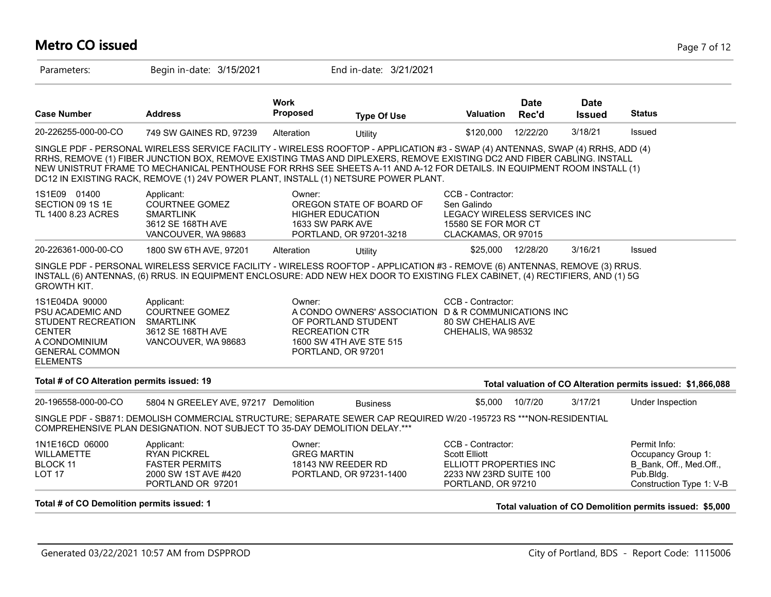# **Metro CO issued** Page 7 of 12

| Parameters:                                                                                                                                   | Begin in-date: 3/15/2021                                                                                                                                                                                                                                                                                                                                                                                                                                                     |                                                       | End in-date: 3/21/2021                                                                                 |                                                                                                                     |                      |                              |                                                                                                        |
|-----------------------------------------------------------------------------------------------------------------------------------------------|------------------------------------------------------------------------------------------------------------------------------------------------------------------------------------------------------------------------------------------------------------------------------------------------------------------------------------------------------------------------------------------------------------------------------------------------------------------------------|-------------------------------------------------------|--------------------------------------------------------------------------------------------------------|---------------------------------------------------------------------------------------------------------------------|----------------------|------------------------------|--------------------------------------------------------------------------------------------------------|
| <b>Case Number</b>                                                                                                                            | <b>Address</b>                                                                                                                                                                                                                                                                                                                                                                                                                                                               | <b>Work</b><br><b>Proposed</b>                        | <b>Type Of Use</b>                                                                                     | Valuation                                                                                                           | <b>Date</b><br>Rec'd | <b>Date</b><br><b>Issued</b> | <b>Status</b>                                                                                          |
| 20-226255-000-00-CO                                                                                                                           | 749 SW GAINES RD, 97239                                                                                                                                                                                                                                                                                                                                                                                                                                                      | Alteration                                            | Utility                                                                                                | \$120,000                                                                                                           | 12/22/20             | 3/18/21                      | Issued                                                                                                 |
|                                                                                                                                               | SINGLE PDF - PERSONAL WIRELESS SERVICE FACILITY - WIRELESS ROOFTOP - APPLICATION #3 - SWAP (4) ANTENNAS, SWAP (4) RRHS, ADD (4)<br>RRHS, REMOVE (1) FIBER JUNCTION BOX, REMOVE EXISTING TMAS AND DIPLEXERS, REMOVE EXISTING DC2 AND FIBER CABLING. INSTALL<br>NEW UNISTRUT FRAME TO MECHANICAL PENTHOUSE FOR RRHS SEE SHEETS A-11 AND A-12 FOR DETAILS. IN EQUIPMENT ROOM INSTALL (1)<br>DC12 IN EXISTING RACK, REMOVE (1) 24V POWER PLANT, INSTALL (1) NETSURE POWER PLANT. |                                                       |                                                                                                        |                                                                                                                     |                      |                              |                                                                                                        |
| 1S1E09 01400<br>SECTION 09 1S 1E<br>TL 1400 8.23 ACRES                                                                                        | Applicant:<br><b>COURTNEE GOMEZ</b><br><b>SMARTLINK</b><br>3612 SE 168TH AVE<br>VANCOUVER, WA 98683                                                                                                                                                                                                                                                                                                                                                                          | Owner:<br><b>HIGHER EDUCATION</b><br>1633 SW PARK AVE | OREGON STATE OF BOARD OF<br>PORTLAND, OR 97201-3218                                                    | CCB - Contractor:<br>Sen Galindo<br>LEGACY WIRELESS SERVICES INC<br>15580 SE FOR MOR CT<br>CLACKAMAS, OR 97015      |                      |                              |                                                                                                        |
| 20-226361-000-00-CO                                                                                                                           | 1800 SW 6TH AVE, 97201                                                                                                                                                                                                                                                                                                                                                                                                                                                       | Alteration                                            | Utility                                                                                                | \$25,000                                                                                                            | 12/28/20             | 3/16/21                      | Issued                                                                                                 |
| <b>GROWTH KIT.</b>                                                                                                                            | SINGLE PDF - PERSONAL WIRELESS SERVICE FACILITY - WIRELESS ROOFTOP - APPLICATION #3 - REMOVE (6) ANTENNAS, REMOVE (3) RRUS.<br>INSTALL (6) ANTENNAS, (6) RRUS. IN EQUIPMENT ENCLOSURE: ADD NEW HEX DOOR TO EXISTING FLEX CABINET, (4) RECTIFIERS, AND (1) 5G                                                                                                                                                                                                                 |                                                       |                                                                                                        |                                                                                                                     |                      |                              |                                                                                                        |
| 1S1E04DA 90000<br>PSU ACADEMIC AND<br><b>STUDENT RECREATION</b><br><b>CENTER</b><br>A CONDOMINIUM<br><b>GENERAL COMMON</b><br><b>ELEMENTS</b> | Applicant:<br><b>COURTNEE GOMEZ</b><br><b>SMARTLINK</b><br>3612 SE 168TH AVE<br>VANCOUVER, WA 98683                                                                                                                                                                                                                                                                                                                                                                          | Owner:<br><b>RECREATION CTR</b><br>PORTLAND, OR 97201 | A CONDO OWNERS' ASSOCIATION D & R COMMUNICATIONS INC<br>OF PORTLAND STUDENT<br>1600 SW 4TH AVE STE 515 | CCB - Contractor:<br><b>80 SW CHEHALIS AVE</b><br>CHEHALIS, WA 98532                                                |                      |                              |                                                                                                        |
| Total # of CO Alteration permits issued: 19                                                                                                   |                                                                                                                                                                                                                                                                                                                                                                                                                                                                              |                                                       |                                                                                                        |                                                                                                                     |                      |                              | Total valuation of CO Alteration permits issued: \$1,866,088                                           |
| 20-196558-000-00-CO                                                                                                                           | 5804 N GREELEY AVE, 97217 Demolition                                                                                                                                                                                                                                                                                                                                                                                                                                         |                                                       | <b>Business</b>                                                                                        | \$5,000                                                                                                             | 10/7/20              | 3/17/21                      | Under Inspection                                                                                       |
|                                                                                                                                               | SINGLE PDF - SB871: DEMOLISH COMMERCIAL STRUCTURE; SEPARATE SEWER CAP REQUIRED W/20 -195723 RS ***NON-RESIDENTIAL<br>COMPREHENSIVE PLAN DESIGNATION. NOT SUBJECT TO 35-DAY DEMOLITION DELAY.***                                                                                                                                                                                                                                                                              |                                                       |                                                                                                        |                                                                                                                     |                      |                              |                                                                                                        |
| 1N1E16CD 06000<br>WILLAMETTE<br><b>BLOCK 11</b><br>LOT <sub>17</sub>                                                                          | Applicant:<br><b>RYAN PICKREL</b><br><b>FASTER PERMITS</b><br>2000 SW 1ST AVE #420<br>PORTLAND OR 97201                                                                                                                                                                                                                                                                                                                                                                      | Owner:<br><b>GREG MARTIN</b>                          | 18143 NW REEDER RD<br>PORTLAND, OR 97231-1400                                                          | CCB - Contractor:<br><b>Scott Elliott</b><br>ELLIOTT PROPERTIES INC<br>2233 NW 23RD SUITE 100<br>PORTLAND, OR 97210 |                      |                              | Permit Info:<br>Occupancy Group 1:<br>B Bank, Off., Med.Off.,<br>Pub.Bldg.<br>Construction Type 1: V-B |
| Total # of CO Demolition permits issued: 1                                                                                                    |                                                                                                                                                                                                                                                                                                                                                                                                                                                                              |                                                       |                                                                                                        |                                                                                                                     |                      |                              | Total valuation of CO Demolition permits issued: \$5,000                                               |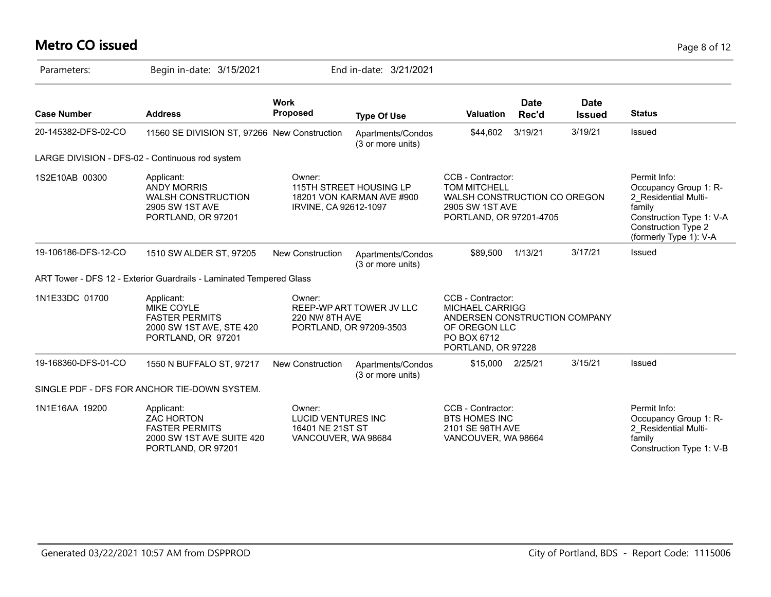# **Metro CO issued** Page 8 of 12

| Parameters:         | Begin in-date: 3/15/2021                                                                                    |                                                                                | End in-date: 3/21/2021                               |                                                                                                                                    |                      |                              |                                                                                                                                                             |
|---------------------|-------------------------------------------------------------------------------------------------------------|--------------------------------------------------------------------------------|------------------------------------------------------|------------------------------------------------------------------------------------------------------------------------------------|----------------------|------------------------------|-------------------------------------------------------------------------------------------------------------------------------------------------------------|
| <b>Case Number</b>  | <b>Address</b>                                                                                              | <b>Work</b><br><b>Proposed</b>                                                 | <b>Type Of Use</b>                                   | <b>Valuation</b>                                                                                                                   | <b>Date</b><br>Rec'd | <b>Date</b><br><b>Issued</b> | <b>Status</b>                                                                                                                                               |
| 20-145382-DFS-02-CO | 11560 SE DIVISION ST, 97266 New Construction                                                                |                                                                                | Apartments/Condos<br>(3 or more units)               | \$44,602                                                                                                                           | 3/19/21              | 3/19/21                      | Issued                                                                                                                                                      |
|                     | LARGE DIVISION - DFS-02 - Continuous rod system                                                             |                                                                                |                                                      |                                                                                                                                    |                      |                              |                                                                                                                                                             |
| 1S2E10AB 00300      | Applicant:<br><b>ANDY MORRIS</b><br><b>WALSH CONSTRUCTION</b><br>2905 SW 1ST AVE<br>PORTLAND, OR 97201      | Owner:<br>IRVINE, CA 92612-1097                                                | 115TH STREET HOUSING LP<br>18201 VON KARMAN AVE #900 | CCB - Contractor:<br><b>TOM MITCHELL</b><br>WALSH CONSTRUCTION CO OREGON<br>2905 SW 1ST AVE<br>PORTLAND, OR 97201-4705             |                      |                              | Permit Info:<br>Occupancy Group 1: R-<br>2 Residential Multi-<br>family<br>Construction Type 1: V-A<br><b>Construction Type 2</b><br>(formerly Type 1): V-A |
| 19-106186-DFS-12-CO | 1510 SW ALDER ST, 97205                                                                                     | New Construction                                                               | Apartments/Condos<br>(3 or more units)               | \$89,500                                                                                                                           | 1/13/21              | 3/17/21                      | Issued                                                                                                                                                      |
|                     | ART Tower - DFS 12 - Exterior Guardrails - Laminated Tempered Glass                                         |                                                                                |                                                      |                                                                                                                                    |                      |                              |                                                                                                                                                             |
| 1N1E33DC 01700      | Applicant:<br><b>MIKE COYLE</b><br><b>FASTER PERMITS</b><br>2000 SW 1ST AVE, STE 420<br>PORTLAND, OR 97201  | Owner:<br>220 NW 8TH AVE                                                       | REEP-WP ART TOWER JV LLC<br>PORTLAND, OR 97209-3503  | CCB - Contractor:<br><b>MICHAEL CARRIGG</b><br>ANDERSEN CONSTRUCTION COMPANY<br>OF OREGON LLC<br>PO BOX 6712<br>PORTLAND, OR 97228 |                      |                              |                                                                                                                                                             |
| 19-168360-DFS-01-CO | 1550 N BUFFALO ST, 97217                                                                                    | New Construction                                                               | Apartments/Condos<br>(3 or more units)               | \$15,000                                                                                                                           | 2/25/21              | 3/15/21                      | Issued                                                                                                                                                      |
|                     | SINGLE PDF - DFS FOR ANCHOR TIE-DOWN SYSTEM.                                                                |                                                                                |                                                      |                                                                                                                                    |                      |                              |                                                                                                                                                             |
| 1N1E16AA 19200      | Applicant:<br><b>ZAC HORTON</b><br><b>FASTER PERMITS</b><br>2000 SW 1ST AVE SUITE 420<br>PORTLAND, OR 97201 | Owner:<br><b>LUCID VENTURES INC</b><br>16401 NE 21ST ST<br>VANCOUVER, WA 98684 |                                                      | CCB - Contractor:<br><b>BTS HOMES INC</b><br>2101 SE 98TH AVE<br>VANCOUVER, WA 98664                                               |                      |                              | Permit Info:<br>Occupancy Group 1: R-<br>2 Residential Multi-<br>family<br>Construction Type 1: V-B                                                         |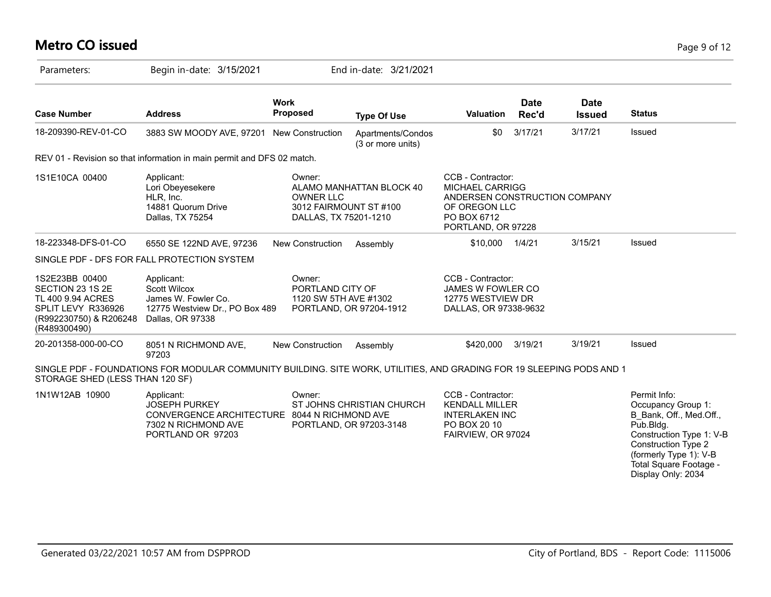# **Metro CO issued** Page 9 of 12

| Parameters:                                                                                                             | Begin in-date: 3/15/2021                                                                                                       |                                                                               | End in-date: 3/21/2021                               |                                                                                                                                    |                      |                              |                                                                                                                                                                                                                |
|-------------------------------------------------------------------------------------------------------------------------|--------------------------------------------------------------------------------------------------------------------------------|-------------------------------------------------------------------------------|------------------------------------------------------|------------------------------------------------------------------------------------------------------------------------------------|----------------------|------------------------------|----------------------------------------------------------------------------------------------------------------------------------------------------------------------------------------------------------------|
| <b>Case Number</b>                                                                                                      | <b>Address</b>                                                                                                                 | <b>Work</b><br><b>Proposed</b>                                                | <b>Type Of Use</b>                                   | <b>Valuation</b>                                                                                                                   | <b>Date</b><br>Rec'd | <b>Date</b><br><b>Issued</b> | <b>Status</b>                                                                                                                                                                                                  |
| 18-209390-REV-01-CO                                                                                                     | 3883 SW MOODY AVE, 97201 New Construction                                                                                      |                                                                               | Apartments/Condos<br>(3 or more units)               | \$0                                                                                                                                | 3/17/21              | 3/17/21                      | Issued                                                                                                                                                                                                         |
|                                                                                                                         | REV 01 - Revision so that information in main permit and DFS 02 match.                                                         |                                                                               |                                                      |                                                                                                                                    |                      |                              |                                                                                                                                                                                                                |
| 1S1E10CA 00400                                                                                                          | Applicant:<br>Lori Obeyesekere<br>HLR, Inc.<br>14881 Quorum Drive<br>Dallas, TX 75254                                          | Owner:<br><b>OWNER LLC</b><br>3012 FAIRMOUNT ST #100<br>DALLAS, TX 75201-1210 | ALAMO MANHATTAN BLOCK 40                             | CCB - Contractor:<br><b>MICHAEL CARRIGG</b><br>ANDERSEN CONSTRUCTION COMPANY<br>OF OREGON LLC<br>PO BOX 6712<br>PORTLAND, OR 97228 |                      |                              |                                                                                                                                                                                                                |
| 18-223348-DFS-01-CO                                                                                                     | 6550 SE 122ND AVE, 97236                                                                                                       | New Construction                                                              | Assembly                                             | \$10,000                                                                                                                           | 1/4/21               | 3/15/21                      | Issued                                                                                                                                                                                                         |
|                                                                                                                         | SINGLE PDF - DFS FOR FALL PROTECTION SYSTEM                                                                                    |                                                                               |                                                      |                                                                                                                                    |                      |                              |                                                                                                                                                                                                                |
| 1S2E23BB 00400<br>SECTION 23 1S 2E<br>TL 400 9.94 ACRES<br>SPLIT LEVY R336926<br>(R992230750) & R206248<br>(R489300490) | Applicant:<br><b>Scott Wilcox</b><br>James W. Fowler Co.<br>12775 Westview Dr., PO Box 489<br>Dallas, OR 97338                 | Owner:<br>PORTLAND CITY OF<br>1120 SW 5TH AVE #1302                           | PORTLAND, OR 97204-1912                              | CCB - Contractor:<br>JAMES W FOWLER CO<br>12775 WESTVIEW DR<br>DALLAS, OR 97338-9632                                               |                      |                              |                                                                                                                                                                                                                |
| 20-201358-000-00-CO                                                                                                     | 8051 N RICHMOND AVE,<br>97203                                                                                                  | New Construction                                                              | Assembly                                             | \$420,000                                                                                                                          | 3/19/21              | 3/19/21                      | Issued                                                                                                                                                                                                         |
| STORAGE SHED (LESS THAN 120 SF)                                                                                         | SINGLE PDF - FOUNDATIONS FOR MODULAR COMMUNITY BUILDING. SITE WORK, UTILITIES, AND GRADING FOR 19 SLEEPING PODS AND 1          |                                                                               |                                                      |                                                                                                                                    |                      |                              |                                                                                                                                                                                                                |
| 1N1W12AB 10900                                                                                                          | Applicant:<br><b>JOSEPH PURKEY</b><br>CONVERGENCE ARCHITECTURE 8044 N RICHMOND AVE<br>7302 N RICHMOND AVE<br>PORTLAND OR 97203 | Owner:                                                                        | ST JOHNS CHRISTIAN CHURCH<br>PORTLAND, OR 97203-3148 | CCB - Contractor:<br><b>KENDALL MILLER</b><br><b>INTERLAKEN INC</b><br>PO BOX 20 10<br>FAIRVIEW, OR 97024                          |                      |                              | Permit Info:<br>Occupancy Group 1:<br>B Bank, Off., Med.Off.,<br>Pub.Bldg.<br>Construction Type 1: V-B<br><b>Construction Type 2</b><br>(formerly Type 1): V-B<br>Total Square Footage -<br>Display Only: 2034 |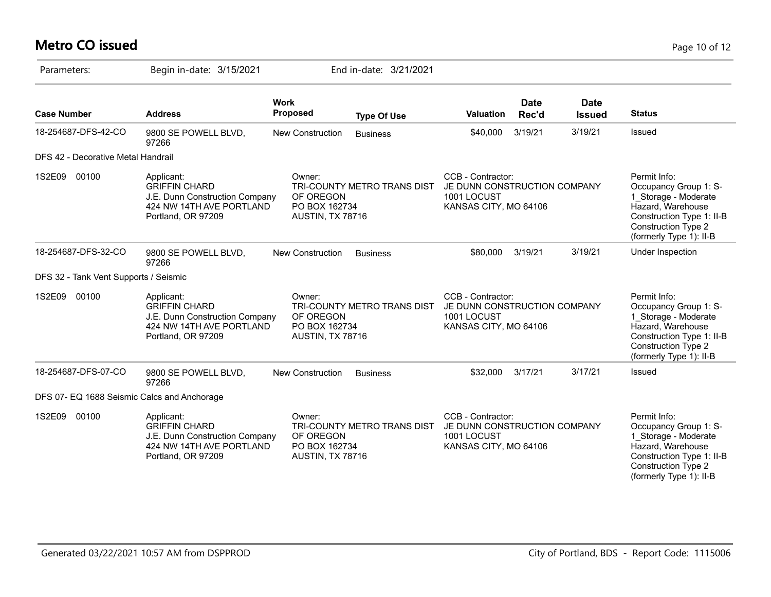# **Metro CO issued** Page 10 of 12

| Parameters:                                 | Begin in-date: 3/15/2021                                                                                               |                                                          | End in-date: 3/21/2021      |                                                                                           |                      |                              |                                                                                                                                                                          |
|---------------------------------------------|------------------------------------------------------------------------------------------------------------------------|----------------------------------------------------------|-----------------------------|-------------------------------------------------------------------------------------------|----------------------|------------------------------|--------------------------------------------------------------------------------------------------------------------------------------------------------------------------|
| <b>Case Number</b>                          | <b>Address</b>                                                                                                         | <b>Work</b><br><b>Proposed</b>                           | <b>Type Of Use</b>          | <b>Valuation</b>                                                                          | <b>Date</b><br>Rec'd | <b>Date</b><br><b>Issued</b> | <b>Status</b>                                                                                                                                                            |
| 18-254687-DFS-42-CO                         | 9800 SE POWELL BLVD,<br>97266                                                                                          | New Construction                                         | <b>Business</b>             | \$40,000                                                                                  | 3/19/21              | 3/19/21                      | Issued                                                                                                                                                                   |
| DFS 42 - Decorative Metal Handrail          |                                                                                                                        |                                                          |                             |                                                                                           |                      |                              |                                                                                                                                                                          |
| 00100<br>1S2E09                             | Applicant:<br><b>GRIFFIN CHARD</b><br>J.E. Dunn Construction Company<br>424 NW 14TH AVE PORTLAND<br>Portland, OR 97209 | Owner:<br>OF OREGON<br>PO BOX 162734<br>AUSTIN, TX 78716 | TRI-COUNTY METRO TRANS DIST | CCB - Contractor:<br>JE DUNN CONSTRUCTION COMPANY<br>1001 LOCUST<br>KANSAS CITY, MO 64106 |                      |                              | Permit Info:<br>Occupancy Group 1: S-<br>1 Storage - Moderate<br>Hazard, Warehouse<br>Construction Type 1: II-B<br><b>Construction Type 2</b><br>(formerly Type 1): II-B |
| 18-254687-DFS-32-CO                         | 9800 SE POWELL BLVD,<br>97266                                                                                          | <b>New Construction</b>                                  | <b>Business</b>             | \$80,000                                                                                  | 3/19/21              | 3/19/21                      | Under Inspection                                                                                                                                                         |
| DFS 32 - Tank Vent Supports / Seismic       |                                                                                                                        |                                                          |                             |                                                                                           |                      |                              |                                                                                                                                                                          |
| 1S2E09<br>00100                             | Applicant:<br><b>GRIFFIN CHARD</b><br>J.E. Dunn Construction Company<br>424 NW 14TH AVE PORTLAND<br>Portland, OR 97209 | Owner:<br>OF OREGON<br>PO BOX 162734<br>AUSTIN, TX 78716 | TRI-COUNTY METRO TRANS DIST | CCB - Contractor:<br>JE DUNN CONSTRUCTION COMPANY<br>1001 LOCUST<br>KANSAS CITY, MO 64106 |                      |                              | Permit Info:<br>Occupancy Group 1: S-<br>1 Storage - Moderate<br>Hazard, Warehouse<br>Construction Type 1: II-B<br>Construction Type 2<br>(formerly Type 1): II-B        |
| 18-254687-DFS-07-CO                         | 9800 SE POWELL BLVD,<br>97266                                                                                          | <b>New Construction</b>                                  | <b>Business</b>             | \$32,000                                                                                  | 3/17/21              | 3/17/21                      | Issued                                                                                                                                                                   |
| DFS 07- EQ 1688 Seismic Calcs and Anchorage |                                                                                                                        |                                                          |                             |                                                                                           |                      |                              |                                                                                                                                                                          |
| 1S2E09<br>00100                             | Applicant:<br><b>GRIFFIN CHARD</b><br>J.E. Dunn Construction Company<br>424 NW 14TH AVE PORTLAND<br>Portland, OR 97209 | Owner:<br>OF OREGON<br>PO BOX 162734<br>AUSTIN, TX 78716 | TRI-COUNTY METRO TRANS DIST | CCB - Contractor:<br>JE DUNN CONSTRUCTION COMPANY<br>1001 LOCUST<br>KANSAS CITY, MO 64106 |                      |                              | Permit Info:<br>Occupancy Group 1: S-<br>1 Storage - Moderate<br>Hazard, Warehouse<br>Construction Type 1: II-B<br>Construction Type 2<br>(formerly Type 1): II-B        |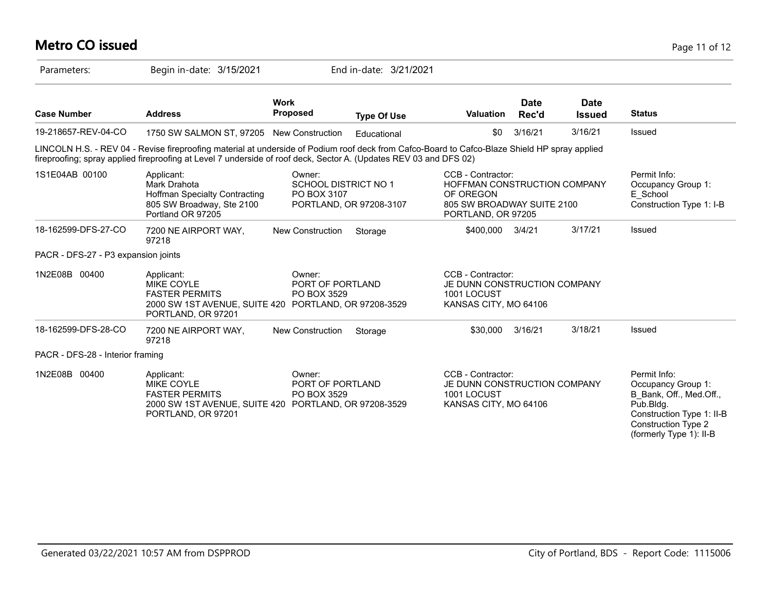## **Metro CO issued** Page 11 of 12

| Parameters:                         | Begin in-date: 3/15/2021                                                                                                                                                                                                                                           |                                                      | End in-date: 3/21/2021  |                                                                                                                    |                      |                              |                                                                                                                                                                  |
|-------------------------------------|--------------------------------------------------------------------------------------------------------------------------------------------------------------------------------------------------------------------------------------------------------------------|------------------------------------------------------|-------------------------|--------------------------------------------------------------------------------------------------------------------|----------------------|------------------------------|------------------------------------------------------------------------------------------------------------------------------------------------------------------|
| <b>Case Number</b>                  | <b>Address</b>                                                                                                                                                                                                                                                     | <b>Work</b><br><b>Proposed</b>                       | <b>Type Of Use</b>      | <b>Valuation</b>                                                                                                   | <b>Date</b><br>Rec'd | <b>Date</b><br><b>Issued</b> | <b>Status</b>                                                                                                                                                    |
| 19-218657-REV-04-CO                 | 1750 SW SALMON ST, 97205 New Construction                                                                                                                                                                                                                          |                                                      | Educational             | \$0                                                                                                                | 3/16/21              | 3/16/21                      | Issued                                                                                                                                                           |
|                                     | LINCOLN H.S. - REV 04 - Revise fireproofing material at underside of Podium roof deck from Cafco-Board to Cafco-Blaze Shield HP spray applied<br>fireproofing; spray applied fireproofing at Level 7 underside of roof deck, Sector A. (Updates REV 03 and DFS 02) |                                                      |                         |                                                                                                                    |                      |                              |                                                                                                                                                                  |
| 1S1E04AB 00100                      | Applicant:<br>Mark Drahota<br><b>Hoffman Specialty Contracting</b><br>805 SW Broadway, Ste 2100<br>Portland OR 97205                                                                                                                                               | Owner:<br><b>SCHOOL DISTRICT NO 1</b><br>PO BOX 3107 | PORTLAND, OR 97208-3107 | CCB - Contractor:<br>HOFFMAN CONSTRUCTION COMPANY<br>OF OREGON<br>805 SW BROADWAY SUITE 2100<br>PORTLAND, OR 97205 |                      |                              | Permit Info:<br>Occupancy Group 1:<br>E_School<br>Construction Type 1: I-B                                                                                       |
| 18-162599-DFS-27-CO                 | 7200 NE AIRPORT WAY,<br>97218                                                                                                                                                                                                                                      | <b>New Construction</b>                              | Storage                 | \$400,000                                                                                                          | 3/4/21               | 3/17/21                      | Issued                                                                                                                                                           |
| PACR - DFS-27 - P3 expansion joints |                                                                                                                                                                                                                                                                    |                                                      |                         |                                                                                                                    |                      |                              |                                                                                                                                                                  |
| 1N2E08B 00400                       | Applicant:<br><b>MIKE COYLE</b><br><b>FASTER PERMITS</b><br>2000 SW 1ST AVENUE, SUITE 420 PORTLAND, OR 97208-3529<br>PORTLAND, OR 97201                                                                                                                            | Owner:<br>PORT OF PORTLAND<br>PO BOX 3529            |                         | CCB - Contractor:<br>JE DUNN CONSTRUCTION COMPANY<br>1001 LOCUST<br>KANSAS CITY, MO 64106                          |                      |                              |                                                                                                                                                                  |
| 18-162599-DFS-28-CO                 | 7200 NE AIRPORT WAY,<br>97218                                                                                                                                                                                                                                      | <b>New Construction</b>                              | Storage                 | \$30,000                                                                                                           | 3/16/21              | 3/18/21                      | Issued                                                                                                                                                           |
| PACR - DFS-28 - Interior framing    |                                                                                                                                                                                                                                                                    |                                                      |                         |                                                                                                                    |                      |                              |                                                                                                                                                                  |
| 1N2E08B 00400                       | Applicant:<br><b>MIKE COYLE</b><br><b>FASTER PERMITS</b><br>2000 SW 1ST AVENUE, SUITE 420 PORTLAND, OR 97208-3529<br>PORTLAND, OR 97201                                                                                                                            | Owner:<br>PORT OF PORTLAND<br>PO BOX 3529            |                         | CCB - Contractor:<br>JE DUNN CONSTRUCTION COMPANY<br>1001 LOCUST<br>KANSAS CITY, MO 64106                          |                      |                              | Permit Info:<br>Occupancy Group 1:<br>B Bank, Off., Med.Off.,<br>Pub.Bldg.<br>Construction Type 1: II-B<br><b>Construction Type 2</b><br>(formerly Type 1): II-B |